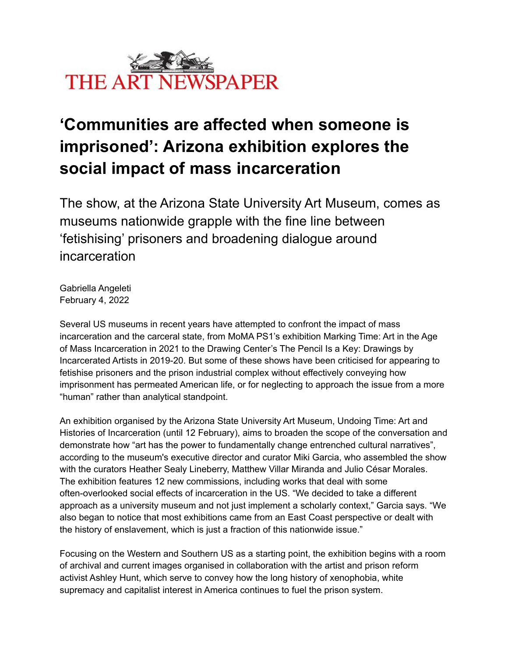

## **'Communities are affected when someone is imprisoned': Arizona exhibition explores the social impact of mass incarceration**

The show, at the Arizona State University Art Museum, comes as museums nationwide grapple with the fine line between 'fetishising' prisoners and broadening dialogue around incarceration

Gabriella Angeleti February 4, 2022

Several US museums in recent years have attempted to confront the impact of mass incarceration and the carceral state, from MoMA PS1's exhibition Marking Time: Art in the Age of Mass Incarceration in 2021 to the Drawing Center's The Pencil Is a Key: Drawings by Incarcerated Artists in 2019-20. But some of these shows have been criticised for appearing to fetishise prisoners and the prison industrial complex without effectively conveying how imprisonment has permeated American life, or for neglecting to approach the issue from a more "human" rather than analytical standpoint.

An exhibition organised by the Arizona State University Art Museum, Undoing Time: Art and Histories of Incarceration (until 12 February), aims to broaden the scope of the conversation and demonstrate how "art has the power to fundamentally change entrenched cultural narratives", according to the museum's executive director and curator Miki Garcia, who assembled the show with the curators Heather Sealy Lineberry, Matthew Villar Miranda and Julio César Morales. The exhibition features 12 new commissions, including works that deal with some often-overlooked social effects of incarceration in the US. "We decided to take a different approach as a university museum and not just implement a scholarly context," Garcia says. "We also began to notice that most exhibitions came from an East Coast perspective or dealt with the history of enslavement, which is just a fraction of this nationwide issue."

Focusing on the Western and Southern US as a starting point, the exhibition begins with a room of archival and current images organised in collaboration with the artist and prison reform activist Ashley Hunt, which serve to convey how the long history of xenophobia, white supremacy and capitalist interest in America continues to fuel the prison system.